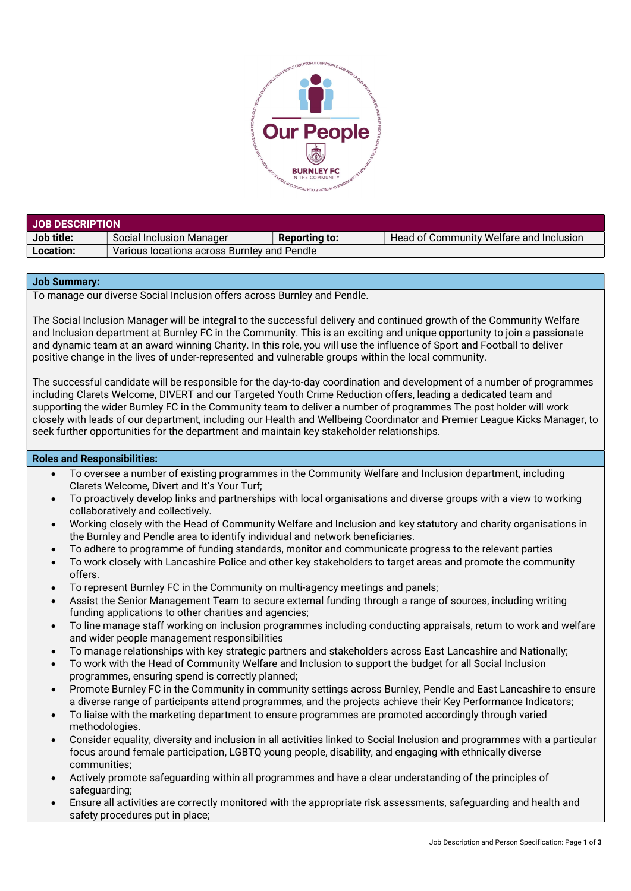

| <b>JOB DESCRIPTION</b> |                                             |                      |                                         |  |  |
|------------------------|---------------------------------------------|----------------------|-----------------------------------------|--|--|
| Job title:             | Social Inclusion Manager                    | <b>Reporting to:</b> | Head of Community Welfare and Inclusion |  |  |
| Location:              | Various locations across Burnley and Pendle |                      |                                         |  |  |

## Job Summary:

To manage our diverse Social Inclusion offers across Burnley and Pendle.

The Social Inclusion Manager will be integral to the successful delivery and continued growth of the Community Welfare and Inclusion department at Burnley FC in the Community. This is an exciting and unique opportunity to join a passionate and dynamic team at an award winning Charity. In this role, you will use the influence of Sport and Football to deliver positive change in the lives of under-represented and vulnerable groups within the local community.

The successful candidate will be responsible for the day-to-day coordination and development of a number of programmes including Clarets Welcome, DIVERT and our Targeted Youth Crime Reduction offers, leading a dedicated team and supporting the wider Burnley FC in the Community team to deliver a number of programmes The post holder will work closely with leads of our department, including our Health and Wellbeing Coordinator and Premier League Kicks Manager, to seek further opportunities for the department and maintain key stakeholder relationships.

## Roles and Responsibilities:

- To oversee a number of existing programmes in the Community Welfare and Inclusion department, including Clarets Welcome, Divert and It's Your Turf;
- To proactively develop links and partnerships with local organisations and diverse groups with a view to working collaboratively and collectively.
- Working closely with the Head of Community Welfare and Inclusion and key statutory and charity organisations in the Burnley and Pendle area to identify individual and network beneficiaries.
- To adhere to programme of funding standards, monitor and communicate progress to the relevant parties
- To work closely with Lancashire Police and other key stakeholders to target areas and promote the community offers.
- To represent Burnley FC in the Community on multi-agency meetings and panels;
- Assist the Senior Management Team to secure external funding through a range of sources, including writing funding applications to other charities and agencies;
- To line manage staff working on inclusion programmes including conducting appraisals, return to work and welfare and wider people management responsibilities
- To manage relationships with key strategic partners and stakeholders across East Lancashire and Nationally;
- To work with the Head of Community Welfare and Inclusion to support the budget for all Social Inclusion programmes, ensuring spend is correctly planned;
- Promote Burnley FC in the Community in community settings across Burnley, Pendle and East Lancashire to ensure a diverse range of participants attend programmes, and the projects achieve their Key Performance Indicators;
- To liaise with the marketing department to ensure programmes are promoted accordingly through varied methodologies.
- Consider equality, diversity and inclusion in all activities linked to Social Inclusion and programmes with a particular focus around female participation, LGBTQ young people, disability, and engaging with ethnically diverse communities;
- Actively promote safeguarding within all programmes and have a clear understanding of the principles of safeguarding;
- Ensure all activities are correctly monitored with the appropriate risk assessments, safeguarding and health and safety procedures put in place;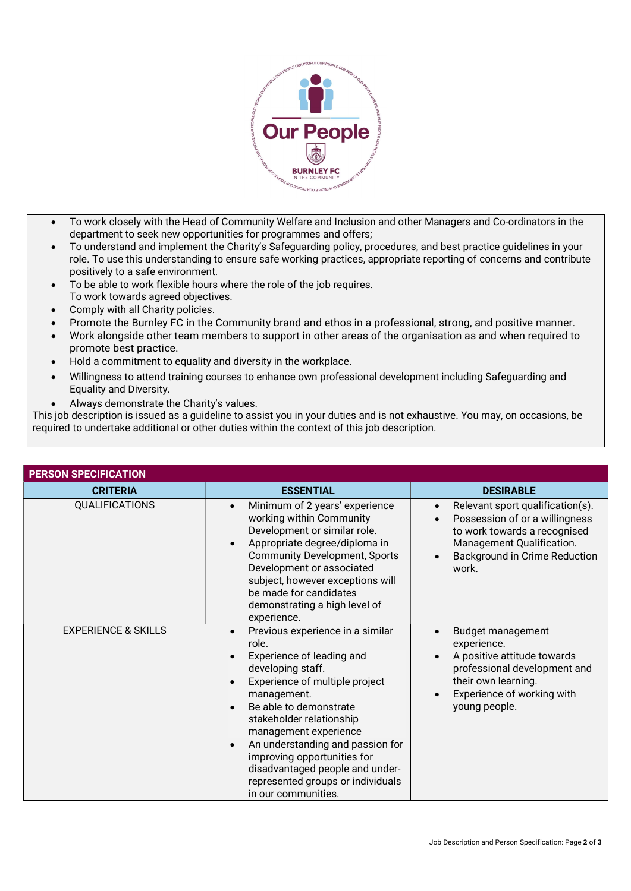

- To work closely with the Head of Community Welfare and Inclusion and other Managers and Co-ordinators in the department to seek new opportunities for programmes and offers;
- To understand and implement the Charity's Safeguarding policy, procedures, and best practice guidelines in your role. To use this understanding to ensure safe working practices, appropriate reporting of concerns and contribute positively to a safe environment.
- To be able to work flexible hours where the role of the job requires. To work towards agreed objectives.
- Comply with all Charity policies.
- Promote the Burnley FC in the Community brand and ethos in a professional, strong, and positive manner.
- Work alongside other team members to support in other areas of the organisation as and when required to promote best practice.
- Hold a commitment to equality and diversity in the workplace.
- Willingness to attend training courses to enhance own professional development including Safeguarding and Equality and Diversity.
- Always demonstrate the Charity's values.

This job description is issued as a guideline to assist you in your duties and is not exhaustive. You may, on occasions, be required to undertake additional or other duties within the context of this job description.

| <b>PERSON SPECIFICATION</b>    |                                                                                                                                                                                                                                                                                                                                                                                                                                                   |                                                                                                                                                                                  |  |  |  |
|--------------------------------|---------------------------------------------------------------------------------------------------------------------------------------------------------------------------------------------------------------------------------------------------------------------------------------------------------------------------------------------------------------------------------------------------------------------------------------------------|----------------------------------------------------------------------------------------------------------------------------------------------------------------------------------|--|--|--|
| <b>CRITERIA</b>                | <b>ESSENTIAL</b>                                                                                                                                                                                                                                                                                                                                                                                                                                  | <b>DESIRABLE</b>                                                                                                                                                                 |  |  |  |
| QUALIFICATIONS                 | Minimum of 2 years' experience<br>$\bullet$<br>working within Community<br>Development or similar role.<br>Appropriate degree/diploma in<br>$\bullet$<br><b>Community Development, Sports</b><br>Development or associated<br>subject, however exceptions will<br>be made for candidates<br>demonstrating a high level of<br>experience.                                                                                                          | Relevant sport qualification(s).<br>Possession of or a willingness<br>to work towards a recognised<br>Management Qualification.<br><b>Background in Crime Reduction</b><br>work. |  |  |  |
| <b>EXPERIENCE &amp; SKILLS</b> | Previous experience in a similar<br>$\bullet$<br>role.<br>Experience of leading and<br>$\bullet$<br>developing staff.<br>Experience of multiple project<br>management.<br>Be able to demonstrate<br>$\bullet$<br>stakeholder relationship<br>management experience<br>An understanding and passion for<br>$\bullet$<br>improving opportunities for<br>disadvantaged people and under-<br>represented groups or individuals<br>in our communities. | Budget management<br>experience.<br>A positive attitude towards<br>professional development and<br>their own learning.<br>Experience of working with<br>young people.            |  |  |  |